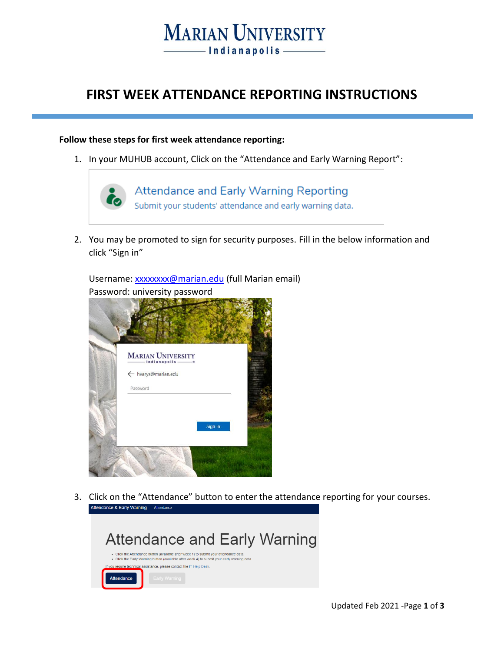### **MARIAN UNIVERSITY** - Indianapolis -

### **FIRST WEEK ATTENDANCE REPORTING INSTRUCTIONS**

#### **Follow these steps for first week attendance reporting:**

1. In your MUHUB account, Click on the "Attendance and Early Warning Report":



2. You may be promoted to sign for security purposes. Fill in the below information and click "Sign in"



Username: [xxxxxxxx@marian.edu](mailto:xxxxxxxx@marian.edu) (full Marian email) Password: university password

3. Click on the "Attendance" button to enter the attendance reporting for your courses.<br>Attendance & Early Warning Altendance

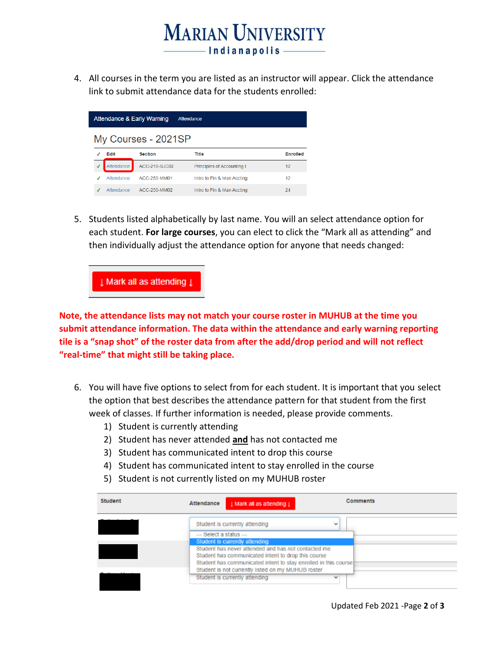# **MARIAN UNIVERSITY** -Indianapolis

4. All courses in the term you are listed as an instructor will appear. Click the attendance link to submit attendance data for the students enrolled:

| <b>Attendance &amp; Early Warning</b><br>Attendance |            |                |                            |                 |  |
|-----------------------------------------------------|------------|----------------|----------------------------|-----------------|--|
| My Courses - 2021SP                                 |            |                |                            |                 |  |
|                                                     | Edit       | <b>Section</b> | <b>Title</b>               | <b>Enrolled</b> |  |
|                                                     | Attendance | ACC-210-SJC02  | Principles of Accounting I | 12              |  |
|                                                     | Attendance | ACC-250-MM01   | Intro to Fin & Man Accting | 12              |  |
|                                                     | Attendance | ACC-250-MM02   | Intro to Fin & Man Accting | 24              |  |

5. Students listed alphabetically by last name. You will an select attendance option for each student. **For large courses**, you can elect to click the "Mark all as attending" and then individually adjust the attendance option for anyone that needs changed:

I Mark all as attending I

**Note, the attendance lists may not match your course roster in MUHUB at the time you submit attendance information. The data within the attendance and early warning reporting tile is a "snap shot" of the roster data from after the add/drop period and will not reflect "real-time" that might still be taking place.**

- 6. You will have five options to select from for each student. It is important that you select the option that best describes the attendance pattern for that student from the first week of classes. If further information is needed, please provide comments.
	- 1) Student is currently attending
	- 2) Student has never attended **and** has not contacted me
	- 3) Student has communicated intent to drop this course
	- 4) Student has communicated intent to stay enrolled in the course
	- 5) Student is not currently listed on my MUHUB roster

| Student | Attendance<br>1 Mark all as attending 1                         | Comments |
|---------|-----------------------------------------------------------------|----------|
|         | Student is currently attending<br>$\overline{\phantom{a}}$      |          |
|         | --- Select a status ---                                         |          |
|         | Student is currently attending                                  |          |
|         | Student has never attended and has not contacted me             |          |
|         | Student has communicated intent to drop this course             |          |
|         | Student has communicated intent to stay enrolled in this course |          |
|         | Student is not currently listed on my MUHUB roster              |          |
|         | Student is currently attending<br>$\overline{\phantom{a}}$      |          |
|         |                                                                 |          |